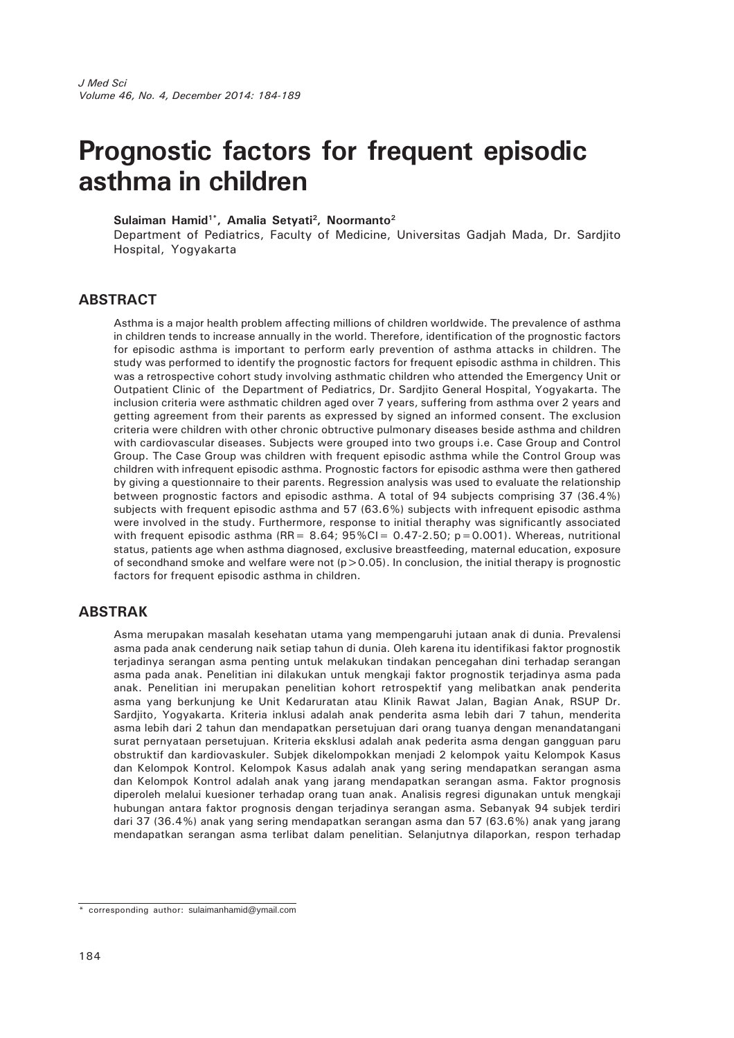# **Prognostic factors for frequent episodic asthma in children**

Sulaiman Hamid<sup>1\*</sup>, Amalia Setyati<sup>2</sup>, Noormanto<sup>2</sup>

Department of Pediatrics, Faculty of Medicine, Universitas Gadjah Mada, Dr. Sardjito Hospital, Yogyakarta

# **ABSTRACT**

Asthma is a major health problem affecting millions of children worldwide. The prevalence of asthma in children tends to increase annually in the world. Therefore, identification of the prognostic factors for episodic asthma is important to perform early prevention of asthma attacks in children. The study was performed to identify the prognostic factors for frequent episodic asthma in children. This was a retrospective cohort study involving asthmatic children who attended the Emergency Unit or Outpatient Clinic of the Department of Pediatrics, Dr. Sardjito General Hospital, Yogyakarta. The inclusion criteria were asthmatic children aged over 7 years, suffering from asthma over 2 years and getting agreement from their parents as expressed by signed an informed consent. The exclusion criteria were children with other chronic obtructive pulmonary diseases beside asthma and children with cardiovascular diseases. Subjects were grouped into two groups i.e. Case Group and Control Group. The Case Group was children with frequent episodic asthma while the Control Group was children with infrequent episodic asthma. Prognostic factors for episodic asthma were then gathered by giving a questionnaire to their parents. Regression analysis was used to evaluate the relationship between prognostic factors and episodic asthma. A total of 94 subjects comprising 37 (36.4%) subjects with frequent episodic asthma and 57 (63.6%) subjects with infrequent episodic asthma were involved in the study. Furthermore, response to initial theraphy was significantly associated with frequent episodic asthma (RR =  $8.64$ ;  $95\%$ CI =  $0.47-2.50$ ; p=0.001). Whereas, nutritional status, patients age when asthma diagnosed, exclusive breastfeeding, maternal education, exposure of secondhand smoke and welfare were not  $(p>0.05)$ . In conclusion, the initial therapy is prognostic factors for frequent episodic asthma in children.

### **ABSTRAK**

Asma merupakan masalah kesehatan utama yang mempengaruhi jutaan anak di dunia. Prevalensi asma pada anak cenderung naik setiap tahun di dunia. Oleh karena itu identifikasi faktor prognostik terjadinya serangan asma penting untuk melakukan tindakan pencegahan dini terhadap serangan asma pada anak. Penelitian ini dilakukan untuk mengkaji faktor prognostik terjadinya asma pada anak. Penelitian ini merupakan penelitian kohort retrospektif yang melibatkan anak penderita asma yang berkunjung ke Unit Kedaruratan atau Klinik Rawat Jalan, Bagian Anak, RSUP Dr. Sardjito, Yogyakarta. Kriteria inklusi adalah anak penderita asma lebih dari 7 tahun, menderita asma lebih dari 2 tahun dan mendapatkan persetujuan dari orang tuanya dengan menandatangani surat pernyataan persetujuan. Kriteria eksklusi adalah anak pederita asma dengan gangguan paru obstruktif dan kardiovaskuler. Subjek dikelompokkan menjadi 2 kelompok yaitu Kelompok Kasus dan Kelompok Kontrol. Kelompok Kasus adalah anak yang sering mendapatkan serangan asma dan Kelompok Kontrol adalah anak yang jarang mendapatkan serangan asma. Faktor prognosis diperoleh melalui kuesioner terhadap orang tuan anak. Analisis regresi digunakan untuk mengkaji hubungan antara faktor prognosis dengan terjadinya serangan asma. Sebanyak 94 subjek terdiri dari 37 (36.4%) anak yang sering mendapatkan serangan asma dan 57 (63.6%) anak yang jarang mendapatkan serangan asma terlibat dalam penelitian. Selanjutnya dilaporkan, respon terhadap

<sup>\*</sup> corresponding author: sulaimanhamid@ymail.com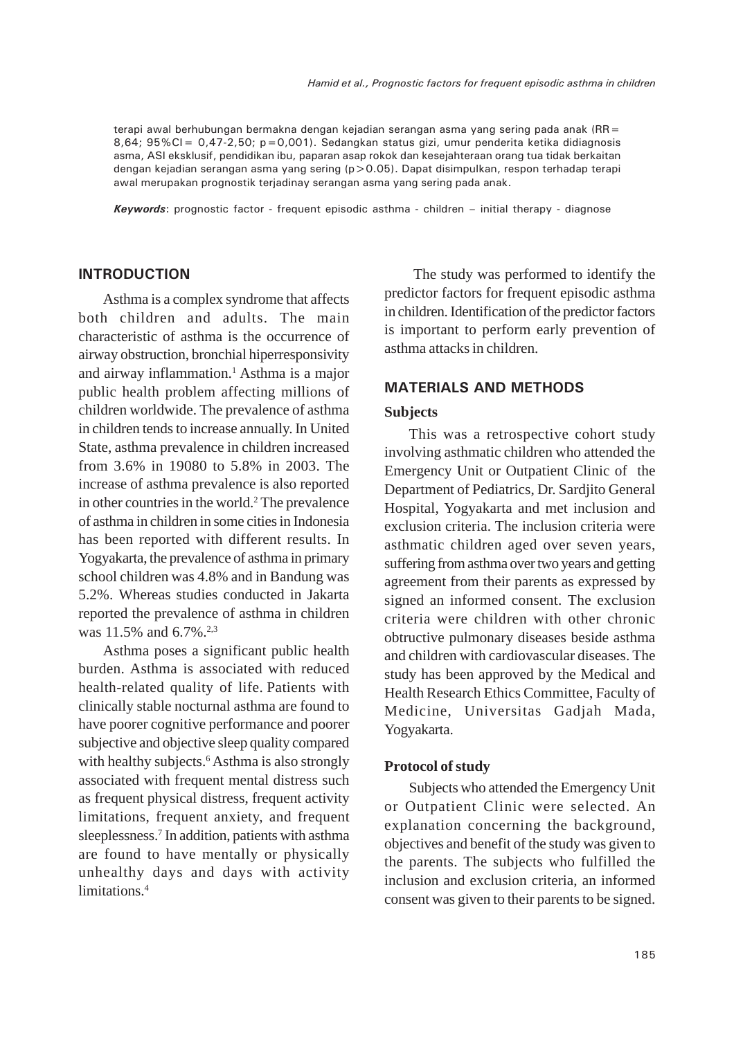terapi awal berhubungan bermakna dengan kejadian serangan asma yang sering pada anak (RR= 8,64; 95%CI =  $0.47 - 2.50$ ; p=0,001). Sedangkan status gizi, umur penderita ketika didiagnosis asma, ASI eksklusif, pendidikan ibu, paparan asap rokok dan kesejahteraan orang tua tidak berkaitan dengan kejadian serangan asma yang sering (p>0.05). Dapat disimpulkan, respon terhadap terapi awal merupakan prognostik terjadinay serangan asma yang sering pada anak.

*Keywords*: prognostic factor - frequent episodic asthma - children – initial therapy - diagnose

#### **INTRODUCTION**

Asthma is a complex syndrome that affects both children and adults. The main characteristic of asthma is the occurrence of airway obstruction, bronchial hiperresponsivity and airway inflammation.<sup>1</sup> Asthma is a major public health problem affecting millions of children worldwide. The prevalence of asthma in children tends to increase annually. In United State, asthma prevalence in children increased from 3.6% in 19080 to 5.8% in 2003. The increase of asthma prevalence is also reported in other countries in the world.<sup>2</sup> The prevalence of asthma in children in some cities in Indonesia has been reported with different results. In Yogyakarta, the prevalence of asthma in primary school children was 4.8% and in Bandung was 5.2%. Whereas studies conducted in Jakarta reported the prevalence of asthma in children was 11.5% and 6.7%.<sup>2,3</sup>

Asthma poses a significant public health burden. Asthma is associated with reduced health-related quality of life. Patients with clinically stable nocturnal asthma are found to have poorer cognitive performance and poorer subjective and objective sleep quality compared with healthy subjects.<sup>6</sup> Asthma is also strongly associated with frequent mental distress such as frequent physical distress, frequent activity limitations, frequent anxiety, and frequent sleeplessness.<sup>7</sup> In addition, patients with asthma are found to have mentally or physically unhealthy days and days with activity limitations.<sup>4</sup>

 The study was performed to identify the predictor factors for frequent episodic asthma in children. Identification of the predictor factors is important to perform early prevention of asthma attacks in children.

## **MATERIALS AND METHODS**

## **Subjects**

This was a retrospective cohort study involving asthmatic children who attended the Emergency Unit or Outpatient Clinic of the Department of Pediatrics, Dr. Sardjito General Hospital, Yogyakarta and met inclusion and exclusion criteria. The inclusion criteria were asthmatic children aged over seven years, suffering from asthma over two years and getting agreement from their parents as expressed by signed an informed consent. The exclusion criteria were children with other chronic obtructive pulmonary diseases beside asthma and children with cardiovascular diseases. The study has been approved by the Medical and Health Research Ethics Committee, Faculty of Medicine, Universitas Gadjah Mada, Yogyakarta.

#### **Protocol of study**

Subjects who attended the Emergency Unit or Outpatient Clinic were selected. An explanation concerning the background, objectives and benefit of the study was given to the parents. The subjects who fulfilled the inclusion and exclusion criteria, an informed consent was given to their parents to be signed.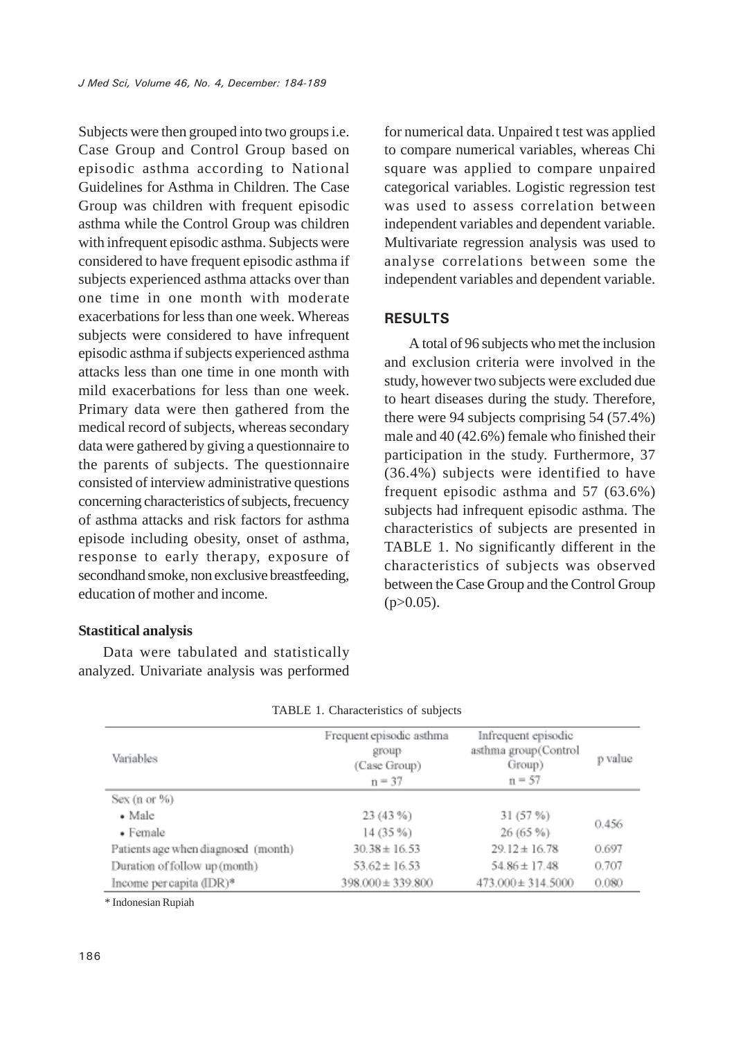Subjects were then grouped into two groups i.e. Case Group and Control Group based on episodic asthma according to National Guidelines for Asthma in Children. The Case Group was children with frequent episodic asthma while the Control Group was children with infrequent episodic asthma. Subjects were considered to have frequent episodic asthma if subjects experienced asthma attacks over than one time in one month with moderate exacerbations for less than one week. Whereas subjects were considered to have infrequent episodic asthma if subjects experienced asthma attacks less than one time in one month with mild exacerbations for less than one week. Primary data were then gathered from the medical record of subjects, whereas secondary data were gathered by giving a questionnaire to the parents of subjects. The questionnaire consisted of interview administrative questions concerning characteristics of subjects, frecuency of asthma attacks and risk factors for asthma episode including obesity, onset of asthma, response to early therapy, exposure of secondhand smoke, non exclusive breastfeeding, education of mother and income.

#### **Stastitical analysis**

Data were tabulated and statistically analyzed. Univariate analysis was performed for numerical data. Unpaired t test was applied to compare numerical variables, whereas Chi square was applied to compare unpaired categorical variables. Logistic regression test was used to assess correlation between independent variables and dependent variable. Multivariate regression analysis was used to analyse correlations between some the independent variables and dependent variable.

#### **RESULTS**

A total of 96 subjects who met the inclusion and exclusion criteria were involved in the study, however two subjects were excluded due to heart diseases during the study. Therefore, there were 94 subjects comprising 54 (57.4%) male and 40 (42.6%) female who finished their participation in the study. Furthermore, 37 (36.4%) subjects were identified to have frequent episodic asthma and 57 (63.6%) subjects had infrequent episodic asthma. The characteristics of subjects are presented in TABLE 1. No significantly different in the characteristics of subjects was observed between the Case Group and the Control Group  $(p>0.05)$ .

| Variables                           | Frequent episodic asthma<br>group<br>(Case Group)<br>$n = 37$ | Infrequent episodic<br>asthma group(Control<br>Group)<br>$n = 57$ | p value |  |
|-------------------------------------|---------------------------------------------------------------|-------------------------------------------------------------------|---------|--|
| Sex $(n or 96)$                     |                                                               |                                                                   |         |  |
| $\bullet$ Male                      | 23 (43 %)                                                     | 31 (57 %)                                                         | 0.456   |  |
| • Female                            | 14 (35 %)                                                     | 26(65%)                                                           |         |  |
| Patients age when diagnosed (month) | $30.38 \pm 16.53$                                             | $29.12 \pm 16.78$                                                 | 0.697   |  |
| Duration of follow up (month)       | $53.62 \pm 16.53$                                             | $54.86 \pm 17.48$                                                 | 0.707   |  |
| Income percapita (IDR)*             | $398,000 \pm 339,800$                                         | $473.000 \pm 314.5000$                                            | 0.080   |  |

| TABLE 1. Characteristics of subjects |
|--------------------------------------|
|--------------------------------------|

\* Indonesian Rupiah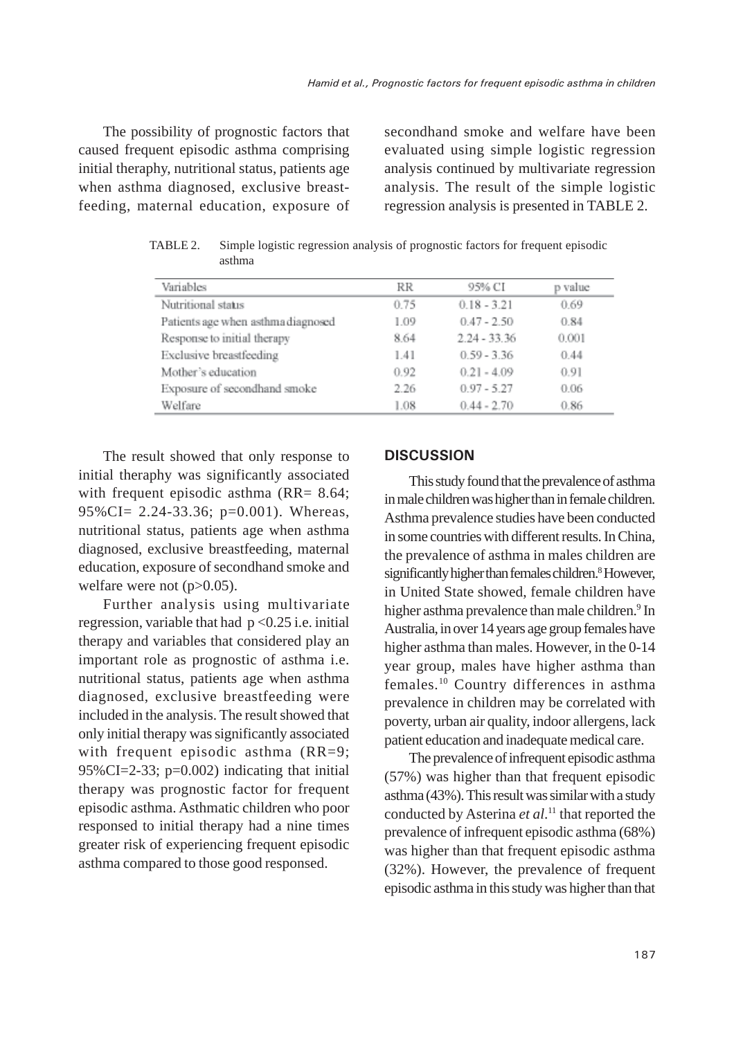The possibility of prognostic factors that caused frequent episodic asthma comprising initial theraphy, nutritional status, patients age when asthma diagnosed, exclusive breastfeeding, maternal education, exposure of secondhand smoke and welfare have been evaluated using simple logistic regression analysis continued by multivariate regression analysis. The result of the simple logistic regression analysis is presented in TABLE 2.

| Variables                          | RR   | 95% CI         | p value |
|------------------------------------|------|----------------|---------|
| Nutritional status                 | 0.75 | $0.18 - 3.21$  | 0.69    |
| Patients age when asthma diagnosed | 1.09 | $0.47 - 2.50$  | 0.84    |
| Response to initial therapy        | 8.64 | $2.24 - 33.36$ | 0.001   |
| Exclusive breastfeeding            | 1.41 | $0.59 - 3.36$  | 0.44    |
| Mother's education                 | 0.92 | $0.21 - 4.09$  | 0.91    |
| Exposure of secondhand smoke       | 2.26 | $0.97 - 5.27$  | 0.06    |
| Welfare                            | 1.08 | $0.44 - 2.70$  | 0.86    |

TABLE 2. Simple logistic regression analysis of prognostic factors for frequent episodic asthma

The result showed that only response to initial theraphy was significantly associated with frequent episodic asthma (RR= 8.64; 95%CI= 2.24-33.36; p=0.001). Whereas, nutritional status, patients age when asthma diagnosed, exclusive breastfeeding, maternal education, exposure of secondhand smoke and welfare were not (p>0.05).

Further analysis using multivariate regression, variable that had  $p < 0.25$  i.e. initial therapy and variables that considered play an important role as prognostic of asthma i.e. nutritional status, patients age when asthma diagnosed, exclusive breastfeeding were included in the analysis. The result showed that only initial therapy was significantly associated with frequent episodic asthma (RR=9; 95%CI=2-33;  $p=0.002$ ) indicating that initial therapy was prognostic factor for frequent episodic asthma. Asthmatic children who poor responsed to initial therapy had a nine times greater risk of experiencing frequent episodic asthma compared to those good responsed.

## **DISCUSSION**

This study found that the prevalence of asthma in male children was higher than in female children. Asthma prevalence studies have been conducted in some countries with different results. In China, the prevalence of asthma in males children are significantly higher than females children.<sup>8</sup> However, in United State showed, female children have higher asthma prevalence than male children.<sup>9</sup> In Australia, in over 14 years age group females have higher asthma than males. However, in the 0-14 year group, males have higher asthma than females.10 Country differences in asthma prevalence in children may be correlated with poverty, urban air quality, indoor allergens, lack patient education and inadequate medical care.

The prevalence of infrequent episodic asthma (57%) was higher than that frequent episodic asthma (43%). This result was similar with a study conducted by Asterina *et al*. 11 that reported the prevalence of infrequent episodic asthma (68%) was higher than that frequent episodic asthma (32%). However, the prevalence of frequent episodic asthma in this study was higher than that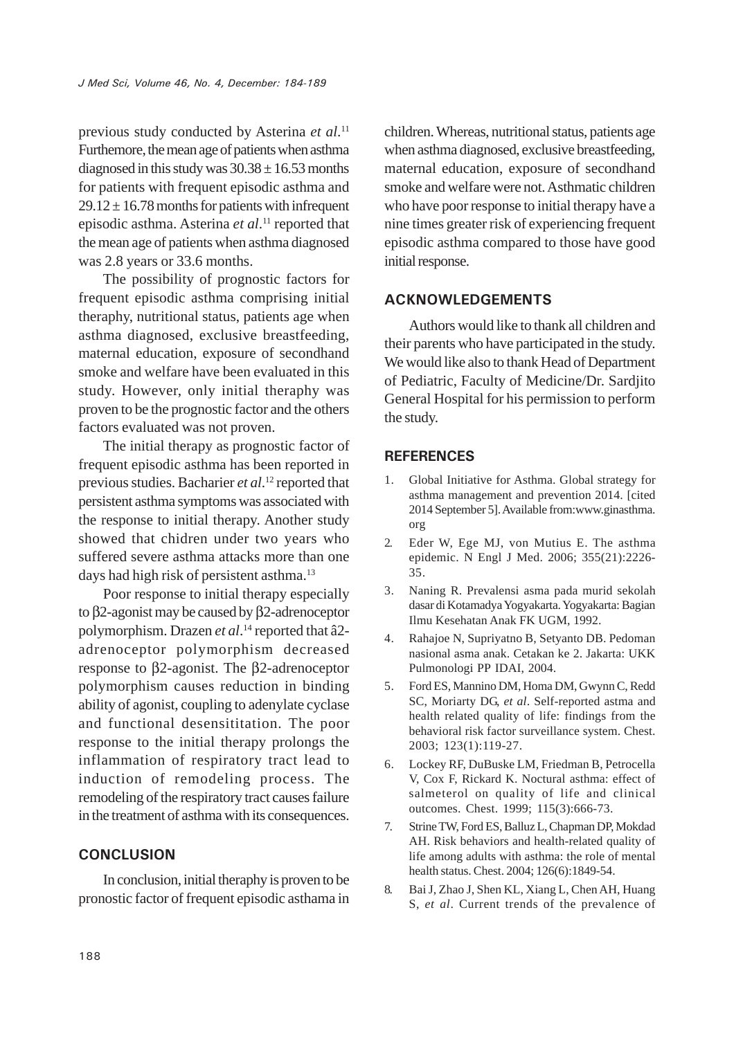previous study conducted by Asterina *et al*. 11 Furthemore, the mean age of patients when asthma diagnosed in this study was  $30.38 \pm 16.53$  months for patients with frequent episodic asthma and  $29.12 \pm 16.78$  months for patients with infrequent episodic asthma. Asterina *et al*. 11 reported that the mean age of patients when asthma diagnosed was 2.8 years or 33.6 months.

The possibility of prognostic factors for frequent episodic asthma comprising initial theraphy, nutritional status, patients age when asthma diagnosed, exclusive breastfeeding, maternal education, exposure of secondhand smoke and welfare have been evaluated in this study. However, only initial theraphy was proven to be the prognostic factor and the others factors evaluated was not proven.

The initial therapy as prognostic factor of frequent episodic asthma has been reported in previous studies. Bacharier *et al*. 12 reported that persistent asthma symptoms was associated with the response to initial therapy. Another study showed that chidren under two years who suffered severe asthma attacks more than one days had high risk of persistent asthma.<sup>13</sup>

Poor response to initial therapy especially to β2-agonist may be caused by β2-adrenoceptor polymorphism. Drazen *et al*. 14 reported that â2 adrenoceptor polymorphism decreased response to β2-agonist. The β2-adrenoceptor polymorphism causes reduction in binding ability of agonist, coupling to adenylate cyclase and functional desensititation. The poor response to the initial therapy prolongs the inflammation of respiratory tract lead to induction of remodeling process. The remodeling of the respiratory tract causes failure in the treatment of asthma with its consequences.

#### **CONCLUSION**

In conclusion, initial theraphy is proven to be pronostic factor of frequent episodic asthama in

children. Whereas, nutritional status, patients age when asthma diagnosed, exclusive breastfeeding, maternal education, exposure of secondhand smoke and welfare were not. Asthmatic children who have poor response to initial therapy have a nine times greater risk of experiencing frequent episodic asthma compared to those have good initial response.

## **ACKNOWLEDGEMENTS**

Authors would like to thank all children and their parents who have participated in the study. We would like also to thank Head of Department of Pediatric, Faculty of Medicine/Dr. Sardjito General Hospital for his permission to perform the study.

#### **REFERENCES**

- 1. Global Initiative for Asthma. Global strategy for asthma management and prevention 2014. [cited 2014 September 5]. Available from:www.ginasthma. org
- 2. Eder W, Ege MJ, von Mutius E. The asthma epidemic. N Engl J Med. 2006; 355(21):2226- 35.
- 3. Naning R. Prevalensi asma pada murid sekolah dasar di Kotamadya Yogyakarta. Yogyakarta: Bagian Ilmu Kesehatan Anak FK UGM, 1992.
- 4. Rahajoe N, Supriyatno B, Setyanto DB. Pedoman nasional asma anak. Cetakan ke 2. Jakarta: UKK Pulmonologi PP IDAI, 2004.
- 5. Ford ES, Mannino DM, Homa DM, Gwynn C, Redd SC, Moriarty DG, *et al*. Self-reported astma and health related quality of life: findings from the behavioral risk factor surveillance system. Chest. 2003; 123(1):119-27.
- 6. Lockey RF, DuBuske LM, Friedman B, Petrocella V, Cox F, Rickard K. Noctural asthma: effect of salmeterol on quality of life and clinical outcomes. Chest. 1999; 115(3):666-73.
- 7. Strine TW, Ford ES, Balluz L, Chapman DP, Mokdad AH. Risk behaviors and health-related quality of life among adults with asthma: the role of mental health status. Chest. 2004; 126(6):1849-54.
- 8. Bai J, Zhao J, Shen KL, Xiang L, Chen AH, Huang S, *et al*. Current trends of the prevalence of